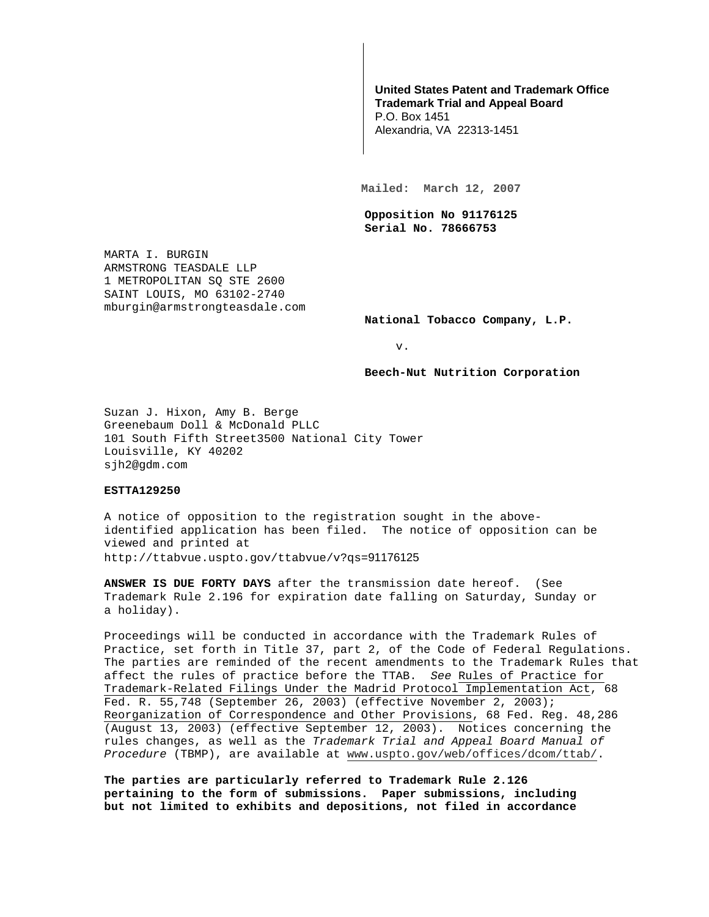## **United States Patent and Trademark Office Trademark Trial and Appeal Board**

P.O. Box 1451 Alexandria, VA 22313-1451

**Mailed: March 12, 2007** 

**Opposition No 91176125 Serial No. 78666753** 

MARTA I. BURGIN ARMSTRONG TEASDALE LLP 1 METROPOLITAN SQ STE 2600 SAINT LOUIS, MO 63102-2740 mburgin@armstrongteasdale.com

**National Tobacco Company, L.P.** 

v.

**Beech-Nut Nutrition Corporation** 

Suzan J. Hixon, Amy B. Berge Greenebaum Doll & McDonald PLLC 101 South Fifth Street3500 National City Tower Louisville, KY 40202 sjh2@gdm.com

## **ESTTA129250**

A notice of opposition to the registration sought in the aboveidentified application has been filed. The notice of opposition can be viewed and printed at http://ttabvue.uspto.gov/ttabvue/v?qs=91176125

**ANSWER IS DUE FORTY DAYS** after the transmission date hereof. (See Trademark Rule 2.196 for expiration date falling on Saturday, Sunday or a holiday).

Proceedings will be conducted in accordance with the Trademark Rules of Practice, set forth in Title 37, part 2, of the Code of Federal Regulations. The parties are reminded of the recent amendments to the Trademark Rules that affect the rules of practice before the TTAB. See Rules of Practice for Trademark-Related Filings Under the Madrid Protocol Implementation Act, 68 Fed. R. 55,748 (September 26, 2003) (effective November 2, 2003); Reorganization of Correspondence and Other Provisions, 68 Fed. Reg. 48,286 (August 13, 2003) (effective September 12, 2003). Notices concerning the rules changes, as well as the Trademark Trial and Appeal Board Manual of Procedure (TBMP), are available at www.uspto.gov/web/offices/dcom/ttab/.

**The parties are particularly referred to Trademark Rule 2.126 pertaining to the form of submissions. Paper submissions, including but not limited to exhibits and depositions, not filed in accordance**